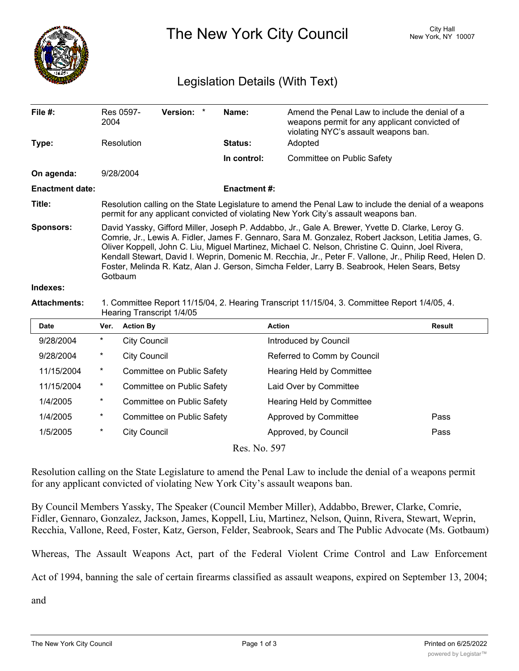

The New York City Council New York, NY 10007

## Legislation Details (With Text)

| File #:                | 2004                                                                                                                                                                                                                                                                                                                                                                                                                                                                                                                                | Res 0597-           | <b>Version:</b>            | $^\star$ | Name:               | Amend the Penal Law to include the denial of a<br>weapons permit for any applicant convicted of<br>violating NYC's assault weapons ban. |               |
|------------------------|-------------------------------------------------------------------------------------------------------------------------------------------------------------------------------------------------------------------------------------------------------------------------------------------------------------------------------------------------------------------------------------------------------------------------------------------------------------------------------------------------------------------------------------|---------------------|----------------------------|----------|---------------------|-----------------------------------------------------------------------------------------------------------------------------------------|---------------|
| Type:                  |                                                                                                                                                                                                                                                                                                                                                                                                                                                                                                                                     | Resolution          |                            |          | <b>Status:</b>      | Adopted                                                                                                                                 |               |
|                        |                                                                                                                                                                                                                                                                                                                                                                                                                                                                                                                                     |                     |                            |          | In control:         | Committee on Public Safety                                                                                                              |               |
| On agenda:             |                                                                                                                                                                                                                                                                                                                                                                                                                                                                                                                                     | 9/28/2004           |                            |          |                     |                                                                                                                                         |               |
| <b>Enactment date:</b> |                                                                                                                                                                                                                                                                                                                                                                                                                                                                                                                                     |                     |                            |          | <b>Enactment #:</b> |                                                                                                                                         |               |
| Title:                 | Resolution calling on the State Legislature to amend the Penal Law to include the denial of a weapons<br>permit for any applicant convicted of violating New York City's assault weapons ban.                                                                                                                                                                                                                                                                                                                                       |                     |                            |          |                     |                                                                                                                                         |               |
| <b>Sponsors:</b>       | David Yassky, Gifford Miller, Joseph P. Addabbo, Jr., Gale A. Brewer, Yvette D. Clarke, Leroy G.<br>Comrie, Jr., Lewis A. Fidler, James F. Gennaro, Sara M. Gonzalez, Robert Jackson, Letitia James, G.<br>Oliver Koppell, John C. Liu, Miguel Martinez, Michael C. Nelson, Christine C. Quinn, Joel Rivera,<br>Kendall Stewart, David I. Weprin, Domenic M. Recchia, Jr., Peter F. Vallone, Jr., Philip Reed, Helen D.<br>Foster, Melinda R. Katz, Alan J. Gerson, Simcha Felder, Larry B. Seabrook, Helen Sears, Betsy<br>Gotbaum |                     |                            |          |                     |                                                                                                                                         |               |
| Indexes:               |                                                                                                                                                                                                                                                                                                                                                                                                                                                                                                                                     |                     |                            |          |                     |                                                                                                                                         |               |
| <b>Attachments:</b>    | 1. Committee Report 11/15/04, 2. Hearing Transcript 11/15/04, 3. Committee Report 1/4/05, 4.<br>Hearing Transcript 1/4/05                                                                                                                                                                                                                                                                                                                                                                                                           |                     |                            |          |                     |                                                                                                                                         |               |
| <b>Date</b>            | Ver.                                                                                                                                                                                                                                                                                                                                                                                                                                                                                                                                | <b>Action By</b>    |                            |          | <b>Action</b>       |                                                                                                                                         | <b>Result</b> |
| 9/28/2004              | $\star$                                                                                                                                                                                                                                                                                                                                                                                                                                                                                                                             | <b>City Council</b> |                            |          |                     | Introduced by Council                                                                                                                   |               |
| 9/28/2004              | *                                                                                                                                                                                                                                                                                                                                                                                                                                                                                                                                   | <b>City Council</b> |                            |          |                     | Referred to Comm by Council                                                                                                             |               |
| 11/15/2004             | $\ast$                                                                                                                                                                                                                                                                                                                                                                                                                                                                                                                              |                     | Committee on Public Safety |          |                     | Hearing Held by Committee                                                                                                               |               |
| 11/15/2004             | $^\star$                                                                                                                                                                                                                                                                                                                                                                                                                                                                                                                            |                     | Committee on Public Safety |          |                     | Laid Over by Committee                                                                                                                  |               |
| 1/4/2005               | $\star$                                                                                                                                                                                                                                                                                                                                                                                                                                                                                                                             |                     | Committee on Public Safety |          |                     | Hearing Held by Committee                                                                                                               |               |
| 1/4/2005               | $^\star$                                                                                                                                                                                                                                                                                                                                                                                                                                                                                                                            |                     | Committee on Public Safety |          |                     | Approved by Committee                                                                                                                   | Pass          |
| 1/5/2005               | $\star$                                                                                                                                                                                                                                                                                                                                                                                                                                                                                                                             | <b>City Council</b> |                            |          |                     | Approved, by Council                                                                                                                    | Pass          |

Res. No. 597

Resolution calling on the State Legislature to amend the Penal Law to include the denial of a weapons permit for any applicant convicted of violating New York City's assault weapons ban.

By Council Members Yassky, The Speaker (Council Member Miller), Addabbo, Brewer, Clarke, Comrie, Fidler, Gennaro, Gonzalez, Jackson, James, Koppell, Liu, Martinez, Nelson, Quinn, Rivera, Stewart, Weprin, Recchia, Vallone, Reed, Foster, Katz, Gerson, Felder, Seabrook, Sears and The Public Advocate (Ms. Gotbaum)

Whereas, The Assault Weapons Act, part of the Federal Violent Crime Control and Law Enforcement

Act of 1994, banning the sale of certain firearms classified as assault weapons, expired on September 13, 2004;

and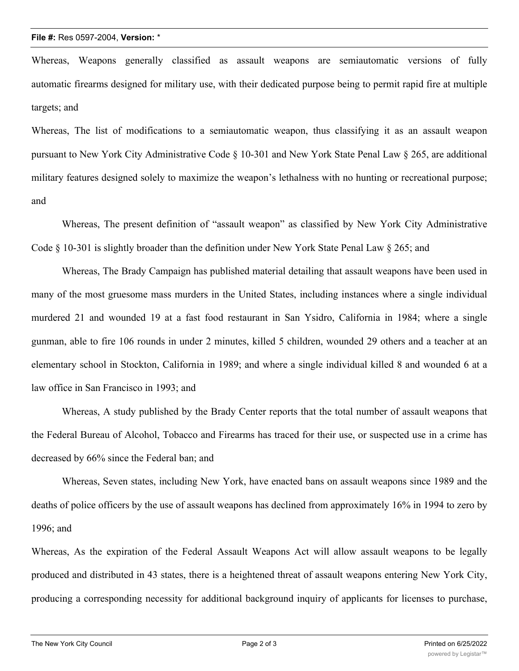Whereas, Weapons generally classified as assault weapons are semiautomatic versions of fully automatic firearms designed for military use, with their dedicated purpose being to permit rapid fire at multiple targets; and

Whereas, The list of modifications to a semiautomatic weapon, thus classifying it as an assault weapon pursuant to New York City Administrative Code § 10-301 and New York State Penal Law § 265, are additional military features designed solely to maximize the weapon's lethalness with no hunting or recreational purpose; and

Whereas, The present definition of "assault weapon" as classified by New York City Administrative Code § 10-301 is slightly broader than the definition under New York State Penal Law § 265; and

Whereas, The Brady Campaign has published material detailing that assault weapons have been used in many of the most gruesome mass murders in the United States, including instances where a single individual murdered 21 and wounded 19 at a fast food restaurant in San Ysidro, California in 1984; where a single gunman, able to fire 106 rounds in under 2 minutes, killed 5 children, wounded 29 others and a teacher at an elementary school in Stockton, California in 1989; and where a single individual killed 8 and wounded 6 at a law office in San Francisco in 1993; and

Whereas, A study published by the Brady Center reports that the total number of assault weapons that the Federal Bureau of Alcohol, Tobacco and Firearms has traced for their use, or suspected use in a crime has decreased by 66% since the Federal ban; and

Whereas, Seven states, including New York, have enacted bans on assault weapons since 1989 and the deaths of police officers by the use of assault weapons has declined from approximately 16% in 1994 to zero by 1996; and

Whereas, As the expiration of the Federal Assault Weapons Act will allow assault weapons to be legally produced and distributed in 43 states, there is a heightened threat of assault weapons entering New York City, producing a corresponding necessity for additional background inquiry of applicants for licenses to purchase,